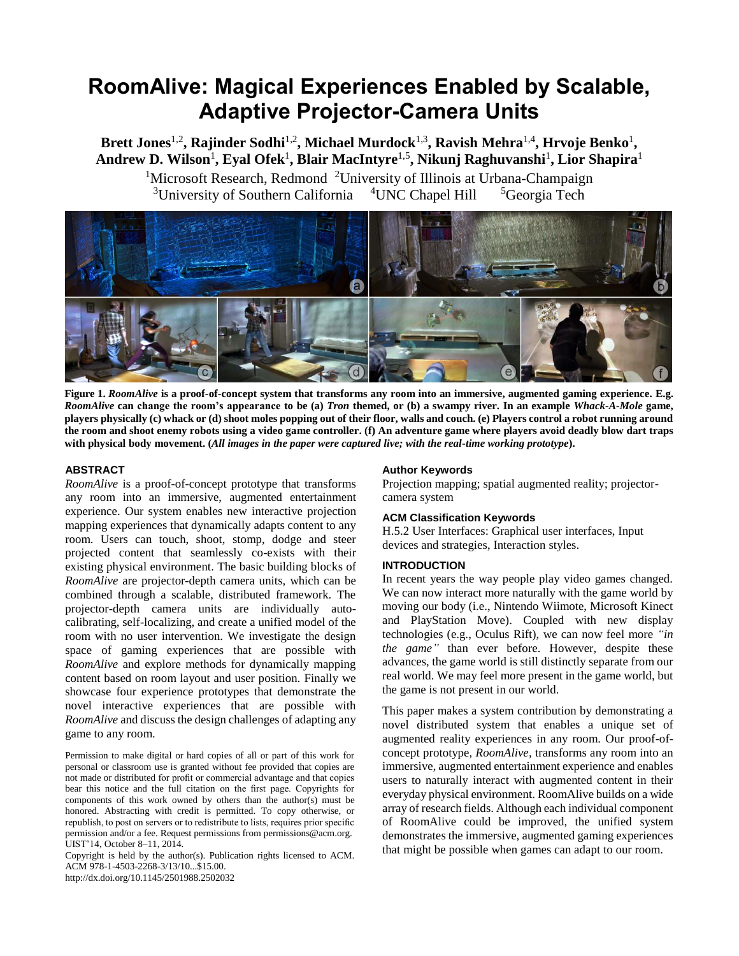# **RoomAlive: Magical Experiences Enabled by Scalable, Adaptive Projector-Camera Units**

**Brett Jones**1,2 **, Rajinder Sodhi**1,2**, Michael Murdock**1,3**, Ravish Mehra**1,4**, Hrvoje Benko**<sup>1</sup> **,**  $\mathbf{A}$ ndrew  $\mathbf{D}.$  Wilson $^1$ , Eyal Ofek $^1$ , Blair MacIntyre $^{1,5}$ , Nikunj Raghuvanshi $^1$ , Lior Shapira $^1$ 

<sup>1</sup>Microsoft Research, Redmond <sup>2</sup>University of Illinois at Urbana-Champaign <sup>3</sup>University of Southern California  $4$ UNC Chapel Hill  $5$ Georgia Tech



**Figure 1.** *RoomAlive* **is a proof-of-concept system that transforms any room into an immersive, augmented gaming experience. E.g.**  *RoomAlive* **can change the room's appearance to be (a)** *Tron* **themed, or (b) a swampy river. In an example** *Whack-A-Mole* **game, players physically (c) whack or (d) shoot moles popping out of their floor, walls and couch. (e) Players control a robot running around the room and shoot enemy robots using a video game controller. (f) An adventure game where players avoid deadly blow dart traps with physical body movement. (***All images in the paper were captured live; with the real-time working prototype***).**

# **ABSTRACT**

*RoomAlive* is a proof-of-concept prototype that transforms any room into an immersive, augmented entertainment experience. Our system enables new interactive projection mapping experiences that dynamically adapts content to any room. Users can touch, shoot, stomp, dodge and steer projected content that seamlessly co-exists with their existing physical environment. The basic building blocks of *RoomAlive* are projector-depth camera units, which can be combined through a scalable, distributed framework. The projector-depth camera units are individually autocalibrating, self-localizing, and create a unified model of the room with no user intervention. We investigate the design space of gaming experiences that are possible with *RoomAlive* and explore methods for dynamically mapping content based on room layout and user position. Finally we showcase four experience prototypes that demonstrate the novel interactive experiences that are possible with *RoomAlive* and discuss the design challenges of adapting any game to any room.

Permission to make digital or hard copies of all or part of this work for personal or classroom use is granted without fee provided that copies are not made or distributed for profit or commercial advantage and that copies bear this notice and the full citation on the first page. Copyrights for components of this work owned by others than the author(s) must be honored. Abstracting with credit is permitted. To copy otherwise, or republish, to post on servers or to redistribute to lists, requires prior specific permission and/or a fee. Request permissions from permissions@acm.org. UIST'14, October 8–11, 2014.

Copyright is held by the author(s). Publication rights licensed to ACM. ACM 978-1-4503-2268-3/13/10...\$15.00.

http://dx.doi.org/10.1145/2501988.2502032

#### **Author Keywords**

Projection mapping; spatial augmented reality; projectorcamera system

## **ACM Classification Keywords**

H.5.2 User Interfaces: Graphical user interfaces, Input devices and strategies, Interaction styles.

# **INTRODUCTION**

In recent years the way people play video games changed. We can now interact more naturally with the game world by moving our body (i.e., Nintendo Wiimote, Microsoft Kinect and PlayStation Move). Coupled with new display technologies (e.g., Oculus Rift), we can now feel more *"in the game"* than ever before. However, despite these advances, the game world is still distinctly separate from our real world. We may feel more present in the game world, but the game is not present in our world.

This paper makes a system contribution by demonstrating a novel distributed system that enables a unique set of augmented reality experiences in any room. Our proof-ofconcept prototype, *RoomAlive,* transforms any room into an immersive, augmented entertainment experience and enables users to naturally interact with augmented content in their everyday physical environment. RoomAlive builds on a wide array of research fields. Although each individual component of RoomAlive could be improved, the unified system demonstrates the immersive, augmented gaming experiences that might be possible when games can adapt to our room.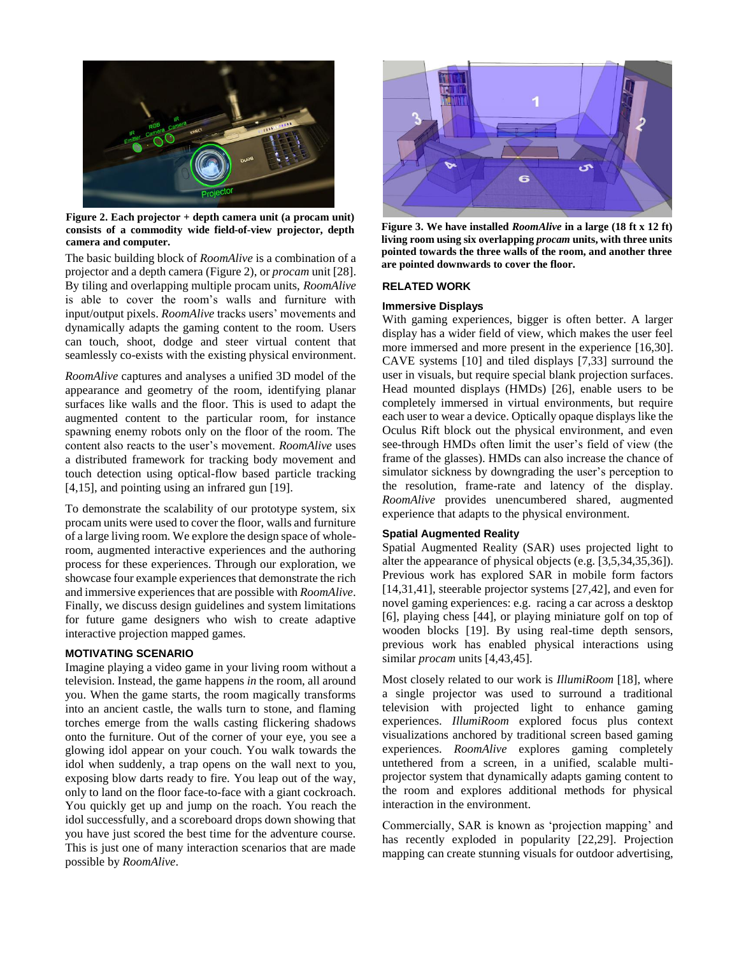

**Figure 2. Each projector + depth camera unit (a procam unit) consists of a commodity wide field-of-view projector, depth camera and computer.** 

The basic building block of *RoomAlive* is a combination of a projector and a depth camera (Figure 2), or *procam* unit [28]. By tiling and overlapping multiple procam units, *RoomAlive* is able to cover the room's walls and furniture with input/output pixels. *RoomAlive* tracks users' movements and dynamically adapts the gaming content to the room. Users can touch, shoot, dodge and steer virtual content that seamlessly co-exists with the existing physical environment.

*RoomAlive* captures and analyses a unified 3D model of the appearance and geometry of the room, identifying planar surfaces like walls and the floor. This is used to adapt the augmented content to the particular room, for instance spawning enemy robots only on the floor of the room. The content also reacts to the user's movement. *RoomAlive* uses a distributed framework for tracking body movement and touch detection using optical-flow based particle tracking [4,15], and pointing using an infrared gun [19].

To demonstrate the scalability of our prototype system, six procam units were used to cover the floor, walls and furniture of a large living room. We explore the design space of wholeroom, augmented interactive experiences and the authoring process for these experiences. Through our exploration, we showcase four example experiences that demonstrate the rich and immersive experiences that are possible with *RoomAlive*. Finally, we discuss design guidelines and system limitations for future game designers who wish to create adaptive interactive projection mapped games.

# **MOTIVATING SCENARIO**

Imagine playing a video game in your living room without a television. Instead, the game happens *in* the room, all around you. When the game starts, the room magically transforms into an ancient castle, the walls turn to stone, and flaming torches emerge from the walls casting flickering shadows onto the furniture. Out of the corner of your eye, you see a glowing idol appear on your couch. You walk towards the idol when suddenly, a trap opens on the wall next to you, exposing blow darts ready to fire. You leap out of the way, only to land on the floor face-to-face with a giant cockroach. You quickly get up and jump on the roach. You reach the idol successfully, and a scoreboard drops down showing that you have just scored the best time for the adventure course. This is just one of many interaction scenarios that are made possible by *RoomAlive*.



**Figure 3. We have installed** *RoomAlive* **in a large (18 ft x 12 ft) living room using six overlapping** *procam* **units, with three units pointed towards the three walls of the room, and another three are pointed downwards to cover the floor.**

#### **RELATED WORK**

## **Immersive Displays**

With gaming experiences, bigger is often better. A larger display has a wider field of view, which makes the user feel more immersed and more present in the experience [16,30]. CAVE systems [10] and tiled displays [7,33] surround the user in visuals, but require special blank projection surfaces. Head mounted displays (HMDs) [26], enable users to be completely immersed in virtual environments, but require each user to wear a device. Optically opaque displays like the Oculus Rift block out the physical environment, and even see-through HMDs often limit the user's field of view (the frame of the glasses). HMDs can also increase the chance of simulator sickness by downgrading the user's perception to the resolution, frame-rate and latency of the display. *RoomAlive* provides unencumbered shared, augmented experience that adapts to the physical environment.

#### **Spatial Augmented Reality**

Spatial Augmented Reality (SAR) uses projected light to alter the appearance of physical objects (e.g. [3,5,34,35,36]). Previous work has explored SAR in mobile form factors [14,31,41], steerable projector systems [27,42], and even for novel gaming experiences: e.g. racing a car across a desktop [6], playing chess [44], or playing miniature golf on top of wooden blocks [19]. By using real-time depth sensors, previous work has enabled physical interactions using similar *procam* units [4,43,45].

Most closely related to our work is *IllumiRoom* [18], where a single projector was used to surround a traditional television with projected light to enhance gaming experiences. *IllumiRoom* explored focus plus context visualizations anchored by traditional screen based gaming experiences. *RoomAlive* explores gaming completely untethered from a screen, in a unified, scalable multiprojector system that dynamically adapts gaming content to the room and explores additional methods for physical interaction in the environment.

Commercially, SAR is known as 'projection mapping' and has recently exploded in popularity [22,29]. Projection mapping can create stunning visuals for outdoor advertising,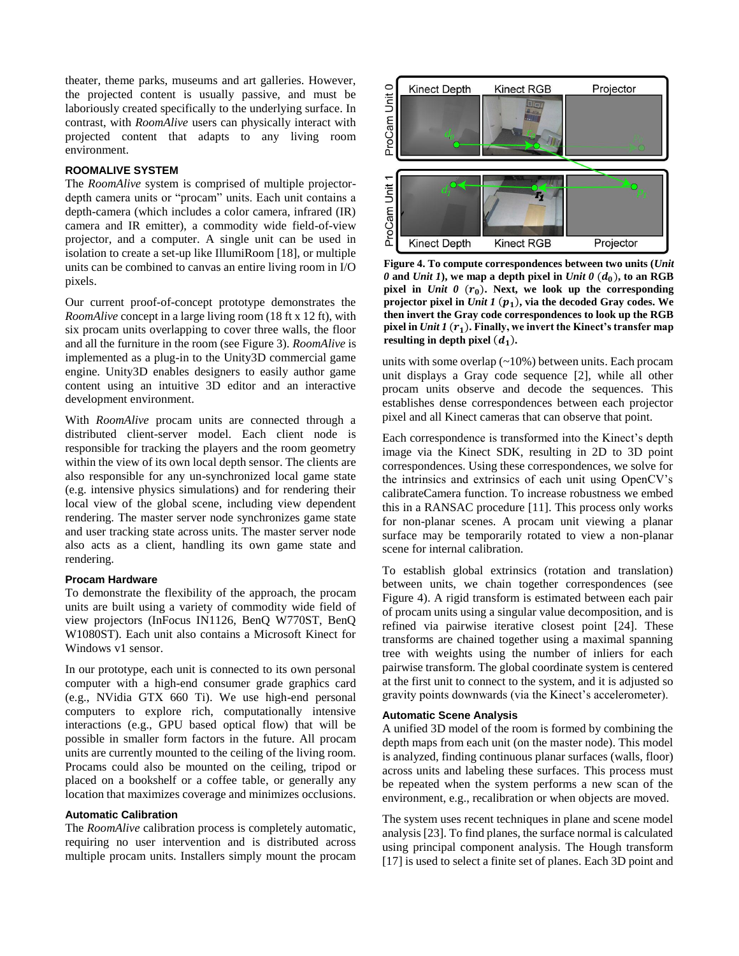theater, theme parks, museums and art galleries. However, the projected content is usually passive, and must be laboriously created specifically to the underlying surface. In contrast, with *RoomAlive* users can physically interact with projected content that adapts to any living room environment.

# **ROOMALIVE SYSTEM**

The *RoomAlive* system is comprised of multiple projectordepth camera units or "procam" units. Each unit contains a depth-camera (which includes a color camera, infrared (IR) camera and IR emitter), a commodity wide field-of-view projector, and a computer. A single unit can be used in isolation to create a set-up like IllumiRoom [18], or multiple units can be combined to canvas an entire living room in I/O pixels.

Our current proof-of-concept prototype demonstrates the *RoomAlive* concept in a large living room (18 ft x 12 ft), with six procam units overlapping to cover three walls, the floor and all the furniture in the room (see Figure 3). *RoomAlive* is implemented as a plug-in to the Unity3D commercial game engine. Unity3D enables designers to easily author game content using an intuitive 3D editor and an interactive development environment.

With *RoomAlive* procam units are connected through a distributed client-server model. Each client node is responsible for tracking the players and the room geometry within the view of its own local depth sensor. The clients are also responsible for any un-synchronized local game state (e.g. intensive physics simulations) and for rendering their local view of the global scene, including view dependent rendering. The master server node synchronizes game state and user tracking state across units. The master server node also acts as a client, handling its own game state and rendering.

#### **Procam Hardware**

To demonstrate the flexibility of the approach, the procam units are built using a variety of commodity wide field of view projectors (InFocus IN1126, BenQ W770ST, BenQ W1080ST). Each unit also contains a Microsoft Kinect for Windows v1 sensor.

In our prototype, each unit is connected to its own personal computer with a high-end consumer grade graphics card (e.g., NVidia GTX 660 Ti). We use high-end personal computers to explore rich, computationally intensive interactions (e.g., GPU based optical flow) that will be possible in smaller form factors in the future. All procam units are currently mounted to the ceiling of the living room. Procams could also be mounted on the ceiling, tripod or placed on a bookshelf or a coffee table, or generally any location that maximizes coverage and minimizes occlusions.

# **Automatic Calibration**

The *RoomAlive* calibration process is completely automatic, requiring no user intervention and is distributed across multiple procam units. Installers simply mount the procam



**Figure 4. To compute correspondences between two units (***Unit*   $\theta$  and *Unit 1*), we map a depth pixel in *Unit*  $\theta$  ( $d_0$ ), to an RGB pixel in *Unit 0*  $(r_0)$ . Next, we look up the corresponding **projector pixel in** *Unit 1* ( )**, via the decoded Gray codes. We then invert the Gray code correspondences to look up the RGB**  pixel in *Unit 1*  $(r_1)$ . Finally, we invert the Kinect's transfer map resulting in depth pixel  $(d_1)$ .

units with some overlap (~10%) between units. Each procam unit displays a Gray code sequence [2], while all other procam units observe and decode the sequences. This establishes dense correspondences between each projector pixel and all Kinect cameras that can observe that point.

Each correspondence is transformed into the Kinect's depth image via the Kinect SDK, resulting in 2D to 3D point correspondences. Using these correspondences, we solve for the intrinsics and extrinsics of each unit using OpenCV's calibrateCamera function. To increase robustness we embed this in a RANSAC procedure [11]. This process only works for non-planar scenes. A procam unit viewing a planar surface may be temporarily rotated to view a non-planar scene for internal calibration.

To establish global extrinsics (rotation and translation) between units, we chain together correspondences (see Figure 4). A rigid transform is estimated between each pair of procam units using a singular value decomposition, and is refined via pairwise iterative closest point [24]. These transforms are chained together using a maximal spanning tree with weights using the number of inliers for each pairwise transform. The global coordinate system is centered at the first unit to connect to the system, and it is adjusted so gravity points downwards (via the Kinect's accelerometer).

# **Automatic Scene Analysis**

A unified 3D model of the room is formed by combining the depth maps from each unit (on the master node). This model is analyzed, finding continuous planar surfaces (walls, floor) across units and labeling these surfaces. This process must be repeated when the system performs a new scan of the environment, e.g., recalibration or when objects are moved.

The system uses recent techniques in plane and scene model analysis [23]. To find planes, the surface normal is calculated using principal component analysis. The Hough transform [17] is used to select a finite set of planes. Each 3D point and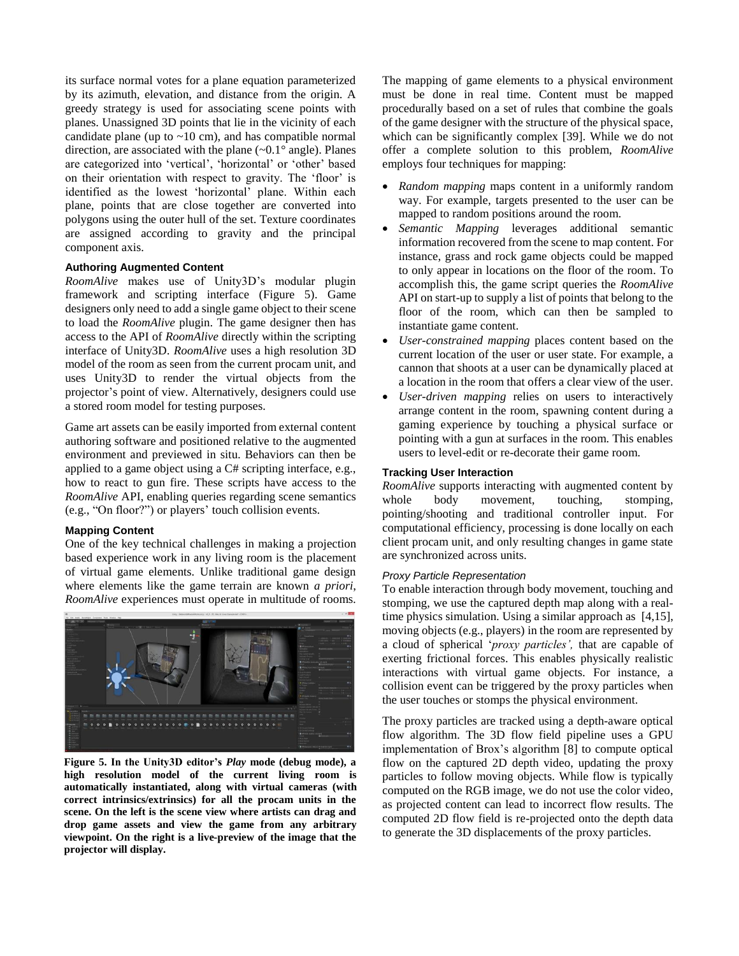its surface normal votes for a plane equation parameterized by its azimuth, elevation, and distance from the origin. A greedy strategy is used for associating scene points with planes. Unassigned 3D points that lie in the vicinity of each candidate plane (up to  $\sim$ 10 cm), and has compatible normal direction, are associated with the plane  $({\sim}0.1^{\circ}$  angle). Planes are categorized into 'vertical', 'horizontal' or 'other' based on their orientation with respect to gravity. The 'floor' is identified as the lowest 'horizontal' plane. Within each plane, points that are close together are converted into polygons using the outer hull of the set. Texture coordinates are assigned according to gravity and the principal component axis.

## **Authoring Augmented Content**

*RoomAlive* makes use of Unity3D's modular plugin framework and scripting interface (Figure 5). Game designers only need to add a single game object to their scene to load the *RoomAlive* plugin. The game designer then has access to the API of *RoomAlive* directly within the scripting interface of Unity3D. *RoomAlive* uses a high resolution 3D model of the room as seen from the current procam unit, and uses Unity3D to render the virtual objects from the projector's point of view. Alternatively, designers could use a stored room model for testing purposes.

Game art assets can be easily imported from external content authoring software and positioned relative to the augmented environment and previewed in situ. Behaviors can then be applied to a game object using a C# scripting interface, e.g., how to react to gun fire. These scripts have access to the *RoomAlive* API, enabling queries regarding scene semantics (e.g., "On floor?") or players' touch collision events.

# **Mapping Content**

One of the key technical challenges in making a projection based experience work in any living room is the placement of virtual game elements. Unlike traditional game design where elements like the game terrain are known *a priori*, *RoomAlive* experiences must operate in multitude of rooms.



**Figure 5. In the Unity3D editor's** *Play* **mode (debug mode), a high resolution model of the current living room is automatically instantiated, along with virtual cameras (with correct intrinsics/extrinsics) for all the procam units in the scene. On the left is the scene view where artists can drag and drop game assets and view the game from any arbitrary viewpoint. On the right is a live-preview of the image that the projector will display.**

The mapping of game elements to a physical environment must be done in real time. Content must be mapped procedurally based on a set of rules that combine the goals of the game designer with the structure of the physical space, which can be significantly complex [39]. While we do not offer a complete solution to this problem, *RoomAlive* employs four techniques for mapping:

- *Random mapping* maps content in a uniformly random way. For example, targets presented to the user can be mapped to random positions around the room.
- *Semantic Mapping* leverages additional semantic information recovered from the scene to map content. For instance, grass and rock game objects could be mapped to only appear in locations on the floor of the room. To accomplish this, the game script queries the *RoomAlive* API on start-up to supply a list of points that belong to the floor of the room, which can then be sampled to instantiate game content.
- *User-constrained mapping* places content based on the current location of the user or user state. For example, a cannon that shoots at a user can be dynamically placed at a location in the room that offers a clear view of the user.
- *User-driven mapping* relies on users to interactively arrange content in the room, spawning content during a gaming experience by touching a physical surface or pointing with a gun at surfaces in the room. This enables users to level-edit or re-decorate their game room.

# **Tracking User Interaction**

*RoomAlive* supports interacting with augmented content by whole body movement, touching, stomping, pointing/shooting and traditional controller input. For computational efficiency, processing is done locally on each client procam unit, and only resulting changes in game state are synchronized across units.

#### *Proxy Particle Representation*

To enable interaction through body movement, touching and stomping, we use the captured depth map along with a realtime physics simulation. Using a similar approach as [4,15], moving objects (e.g., players) in the room are represented by a cloud of spherical '*proxy particles',* that are capable of exerting frictional forces. This enables physically realistic interactions with virtual game objects. For instance, a collision event can be triggered by the proxy particles when the user touches or stomps the physical environment.

The proxy particles are tracked using a depth-aware optical flow algorithm. The 3D flow field pipeline uses a GPU implementation of Brox's algorithm [8] to compute optical flow on the captured 2D depth video, updating the proxy particles to follow moving objects. While flow is typically computed on the RGB image, we do not use the color video, as projected content can lead to incorrect flow results. The computed 2D flow field is re-projected onto the depth data to generate the 3D displacements of the proxy particles.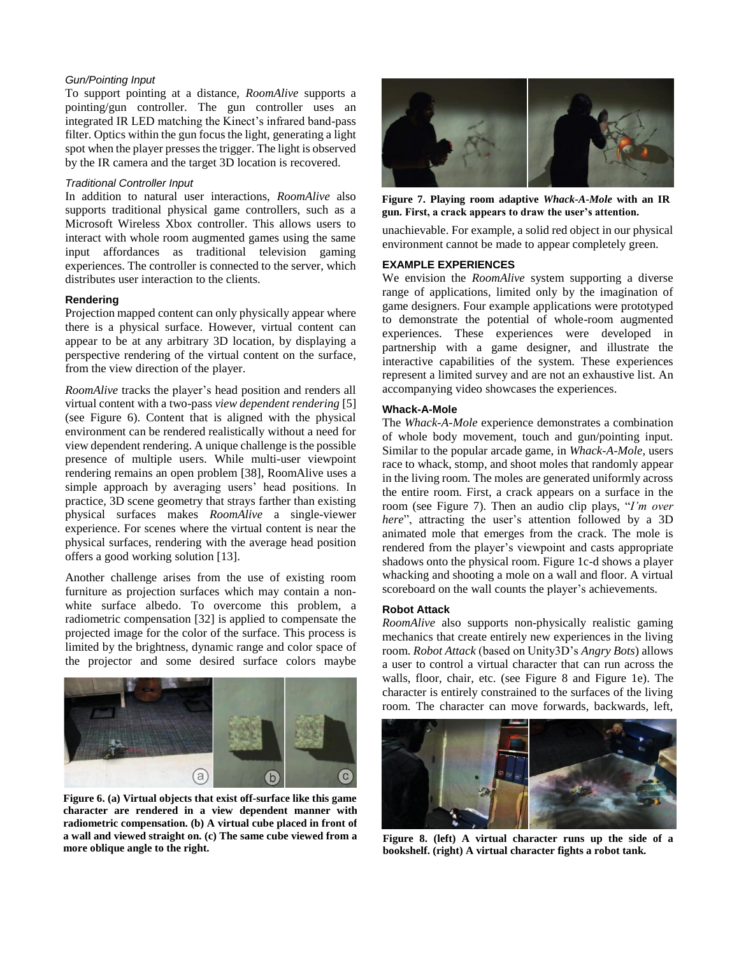## *Gun/Pointing Input*

To support pointing at a distance, *RoomAlive* supports a pointing/gun controller. The gun controller uses an integrated IR LED matching the Kinect's infrared band-pass filter. Optics within the gun focus the light, generating a light spot when the player presses the trigger. The light is observed by the IR camera and the target 3D location is recovered.

#### *Traditional Controller Input*

In addition to natural user interactions, *RoomAlive* also supports traditional physical game controllers, such as a Microsoft Wireless Xbox controller. This allows users to interact with whole room augmented games using the same input affordances as traditional television gaming experiences. The controller is connected to the server, which distributes user interaction to the clients.

## **Rendering**

Projection mapped content can only physically appear where there is a physical surface. However, virtual content can appear to be at any arbitrary 3D location, by displaying a perspective rendering of the virtual content on the surface, from the view direction of the player.

*RoomAlive* tracks the player's head position and renders all virtual content with a two-pass *view dependent rendering* [5] (see Figure 6). Content that is aligned with the physical environment can be rendered realistically without a need for view dependent rendering. A unique challenge isthe possible presence of multiple users. While multi-user viewpoint rendering remains an open problem [38], RoomAlive uses a simple approach by averaging users' head positions. In practice, 3D scene geometry that strays farther than existing physical surfaces makes *RoomAlive* a single-viewer experience. For scenes where the virtual content is near the physical surfaces, rendering with the average head position offers a good working solution [13].

Another challenge arises from the use of existing room furniture as projection surfaces which may contain a nonwhite surface albedo. To overcome this problem, a radiometric compensation [32] is applied to compensate the projected image for the color of the surface. This process is limited by the brightness, dynamic range and color space of the projector and some desired surface colors maybe



**Figure 6. (a) Virtual objects that exist off-surface like this game character are rendered in a view dependent manner with radiometric compensation. (b) A virtual cube placed in front of a wall and viewed straight on. (c) The same cube viewed from a more oblique angle to the right.**



**Figure 7. Playing room adaptive** *Whack-A-Mole* **with an IR gun. First, a crack appears to draw the user's attention.**

unachievable. For example, a solid red object in our physical environment cannot be made to appear completely green.

# **EXAMPLE EXPERIENCES**

We envision the *RoomAlive* system supporting a diverse range of applications, limited only by the imagination of game designers. Four example applications were prototyped to demonstrate the potential of whole-room augmented experiences. These experiences were developed in partnership with a game designer, and illustrate the interactive capabilities of the system. These experiences represent a limited survey and are not an exhaustive list. An accompanying video showcases the experiences.

## **Whack-A-Mole**

The *Whack-A-Mole* experience demonstrates a combination of whole body movement, touch and gun/pointing input. Similar to the popular arcade game, in *Whack-A-Mole,* users race to whack, stomp, and shoot moles that randomly appear in the living room. The moles are generated uniformly across the entire room. First, a crack appears on a surface in the room (see Figure 7). Then an audio clip plays, "*I'm over here*", attracting the user's attention followed by a 3D animated mole that emerges from the crack. The mole is rendered from the player's viewpoint and casts appropriate shadows onto the physical room. Figure 1c-d shows a player whacking and shooting a mole on a wall and floor. A virtual scoreboard on the wall counts the player's achievements.

# **Robot Attack**

*RoomAlive* also supports non-physically realistic gaming mechanics that create entirely new experiences in the living room. *Robot Attack* (based on Unity3D's *Angry Bots*) allows a user to control a virtual character that can run across the walls, floor, chair, etc. (see Figure 8 and Figure 1e). The character is entirely constrained to the surfaces of the living room. The character can move forwards, backwards, left,



**Figure 8. (left) A virtual character runs up the side of a bookshelf. (right) A virtual character fights a robot tank.**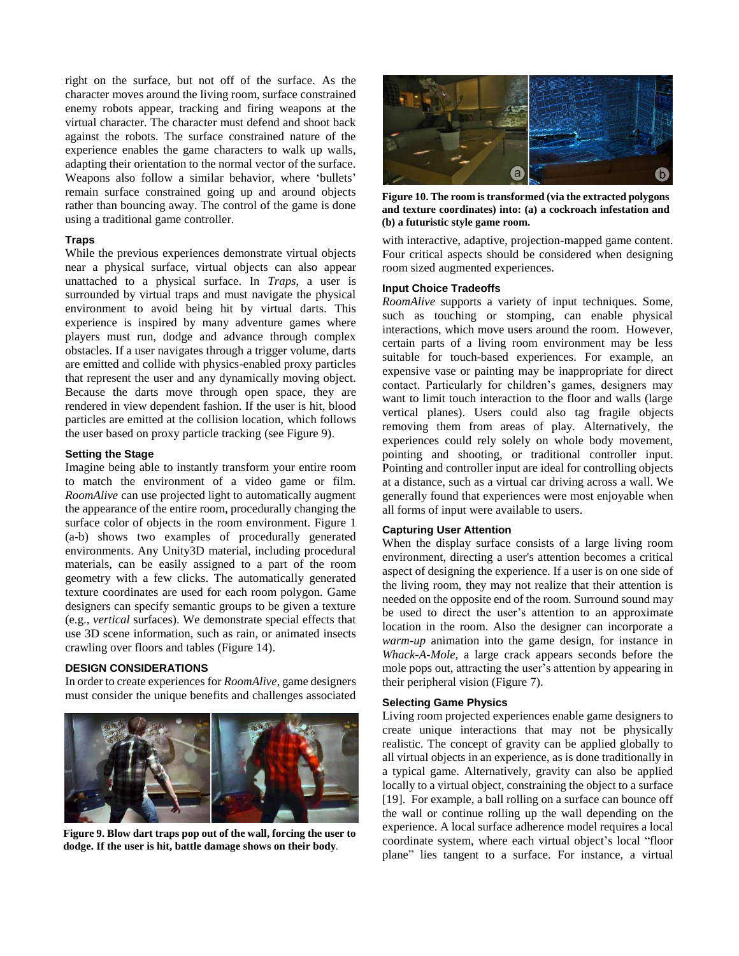right on the surface, but not off of the surface. As the character moves around the living room, surface constrained enemy robots appear, tracking and firing weapons at the virtual character. The character must defend and shoot back against the robots. The surface constrained nature of the experience enables the game characters to walk up walls, adapting their orientation to the normal vector of the surface. Weapons also follow a similar behavior, where 'bullets' remain surface constrained going up and around objects rather than bouncing away. The control of the game is done using a traditional game controller.

# **Traps**

While the previous experiences demonstrate virtual objects near a physical surface, virtual objects can also appear unattached to a physical surface. In *Traps*, a user is surrounded by virtual traps and must navigate the physical environment to avoid being hit by virtual darts. This experience is inspired by many adventure games where players must run, dodge and advance through complex obstacles. If a user navigates through a trigger volume, darts are emitted and collide with physics-enabled proxy particles that represent the user and any dynamically moving object. Because the darts move through open space, they are rendered in view dependent fashion. If the user is hit, blood particles are emitted at the collision location, which follows the user based on proxy particle tracking (see Figure 9).

#### **Setting the Stage**

Imagine being able to instantly transform your entire room to match the environment of a video game or film. *RoomAlive* can use projected light to automatically augment the appearance of the entire room, procedurally changing the surface color of objects in the room environment. Figure 1 (a-b) shows two examples of procedurally generated environments. Any Unity3D material, including procedural materials, can be easily assigned to a part of the room geometry with a few clicks. The automatically generated texture coordinates are used for each room polygon. Game designers can specify semantic groups to be given a texture (e.g., *vertical* surfaces). We demonstrate special effects that use 3D scene information, such as rain, or animated insects crawling over floors and tables (Figure 14).

#### **DESIGN CONSIDERATIONS**

In order to create experiences for *RoomAlive*, game designers must consider the unique benefits and challenges associated



**Figure 9. Blow dart traps pop out of the wall, forcing the user to dodge. If the user is hit, battle damage shows on their body**.



**Figure 10. The room is transformed (via the extracted polygons and texture coordinates) into: (a) a cockroach infestation and (b) a futuristic style game room.** 

with interactive, adaptive, projection-mapped game content. Four critical aspects should be considered when designing room sized augmented experiences.

#### **Input Choice Tradeoffs**

*RoomAlive* supports a variety of input techniques. Some, such as touching or stomping, can enable physical interactions, which move users around the room. However, certain parts of a living room environment may be less suitable for touch-based experiences. For example, an expensive vase or painting may be inappropriate for direct contact. Particularly for children's games, designers may want to limit touch interaction to the floor and walls (large vertical planes). Users could also tag fragile objects removing them from areas of play. Alternatively, the experiences could rely solely on whole body movement, pointing and shooting, or traditional controller input. Pointing and controller input are ideal for controlling objects at a distance, such as a virtual car driving across a wall. We generally found that experiences were most enjoyable when all forms of input were available to users.

# **Capturing User Attention**

When the display surface consists of a large living room environment, directing a user's attention becomes a critical aspect of designing the experience. If a user is on one side of the living room, they may not realize that their attention is needed on the opposite end of the room. Surround sound may be used to direct the user's attention to an approximate location in the room. Also the designer can incorporate a *warm-up* animation into the game design, for instance in *Whack-A-Mole,* a large crack appears seconds before the mole pops out, attracting the user's attention by appearing in their peripheral vision (Figure 7).

#### **Selecting Game Physics**

Living room projected experiences enable game designers to create unique interactions that may not be physically realistic. The concept of gravity can be applied globally to all virtual objects in an experience, as is done traditionally in a typical game. Alternatively, gravity can also be applied locally to a virtual object, constraining the object to a surface [19]. For example, a ball rolling on a surface can bounce off the wall or continue rolling up the wall depending on the experience. A local surface adherence model requires a local coordinate system, where each virtual object's local "floor plane" lies tangent to a surface. For instance, a virtual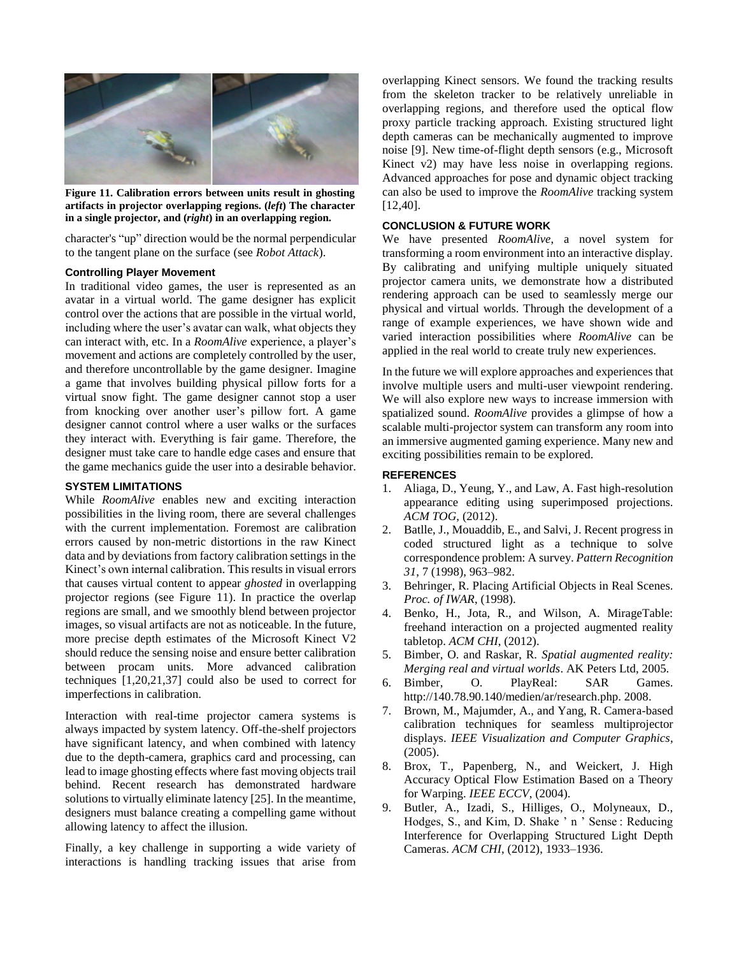

**Figure 11. Calibration errors between units result in ghosting artifacts in projector overlapping regions. (***left***) The character in a single projector, and (***right***) in an overlapping region.**

character's "up" direction would be the normal perpendicular to the tangent plane on the surface (see *Robot Attack*).

# **Controlling Player Movement**

In traditional video games, the user is represented as an avatar in a virtual world. The game designer has explicit control over the actions that are possible in the virtual world, including where the user's avatar can walk, what objects they can interact with, etc. In a *RoomAlive* experience, a player's movement and actions are completely controlled by the user, and therefore uncontrollable by the game designer. Imagine a game that involves building physical pillow forts for a virtual snow fight. The game designer cannot stop a user from knocking over another user's pillow fort. A game designer cannot control where a user walks or the surfaces they interact with. Everything is fair game. Therefore, the designer must take care to handle edge cases and ensure that the game mechanics guide the user into a desirable behavior.

# **SYSTEM LIMITATIONS**

While *RoomAlive* enables new and exciting interaction possibilities in the living room, there are several challenges with the current implementation. Foremost are calibration errors caused by non-metric distortions in the raw Kinect data and by deviations from factory calibration settings in the Kinect's own internal calibration. This results in visual errors that causes virtual content to appear *ghosted* in overlapping projector regions (see Figure 11). In practice the overlap regions are small, and we smoothly blend between projector images, so visual artifacts are not as noticeable. In the future, more precise depth estimates of the Microsoft Kinect V2 should reduce the sensing noise and ensure better calibration between procam units. More advanced calibration techniques [1,20,21,37] could also be used to correct for imperfections in calibration.

Interaction with real-time projector camera systems is always impacted by system latency. Off-the-shelf projectors have significant latency, and when combined with latency due to the depth-camera, graphics card and processing, can lead to image ghosting effects where fast moving objects trail behind. Recent research has demonstrated hardware solutions to virtually eliminate latency [25]. In the meantime, designers must balance creating a compelling game without allowing latency to affect the illusion.

Finally, a key challenge in supporting a wide variety of interactions is handling tracking issues that arise from overlapping Kinect sensors. We found the tracking results from the skeleton tracker to be relatively unreliable in overlapping regions, and therefore used the optical flow proxy particle tracking approach. Existing structured light depth cameras can be mechanically augmented to improve noise [9]. New time-of-flight depth sensors (e.g., Microsoft Kinect v2) may have less noise in overlapping regions. Advanced approaches for pose and dynamic object tracking can also be used to improve the *RoomAlive* tracking system [12,40].

# **CONCLUSION & FUTURE WORK**

We have presented *RoomAlive*, a novel system for transforming a room environment into an interactive display. By calibrating and unifying multiple uniquely situated projector camera units, we demonstrate how a distributed rendering approach can be used to seamlessly merge our physical and virtual worlds. Through the development of a range of example experiences, we have shown wide and varied interaction possibilities where *RoomAlive* can be applied in the real world to create truly new experiences.

In the future we will explore approaches and experiences that involve multiple users and multi-user viewpoint rendering. We will also explore new ways to increase immersion with spatialized sound. *RoomAlive* provides a glimpse of how a scalable multi-projector system can transform any room into an immersive augmented gaming experience. Many new and exciting possibilities remain to be explored.

# **REFERENCES**

- 1. Aliaga, D., Yeung, Y., and Law, A. Fast high-resolution appearance editing using superimposed projections. *ACM TOG*, (2012).
- 2. Batlle, J., Mouaddib, E., and Salvi, J. Recent progress in coded structured light as a technique to solve correspondence problem: A survey. *Pattern Recognition 31*, 7 (1998), 963–982.
- 3. Behringer, R. Placing Artificial Objects in Real Scenes. *Proc. of IWAR*, (1998).
- 4. Benko, H., Jota, R., and Wilson, A. MirageTable: freehand interaction on a projected augmented reality tabletop. *ACM CHI*, (2012).
- 5. Bimber, O. and Raskar, R. *Spatial augmented reality: Merging real and virtual worlds*. AK Peters Ltd, 2005.
- 6. Bimber, O. PlayReal: SAR Games. http://140.78.90.140/medien/ar/research.php. 2008.
- Brown, M., Majumder, A., and Yang, R. Camera-based calibration techniques for seamless multiprojector displays. *IEEE Visualization and Computer Graphics*, (2005).
- 8. Brox, T., Papenberg, N., and Weickert, J. High Accuracy Optical Flow Estimation Based on a Theory for Warping. *IEEE ECCV*, (2004).
- 9. Butler, A., Izadi, S., Hilliges, O., Molyneaux, D., Hodges, S., and Kim, D. Shake 'n ' Sense : Reducing Interference for Overlapping Structured Light Depth Cameras. *ACM CHI*, (2012), 1933–1936.